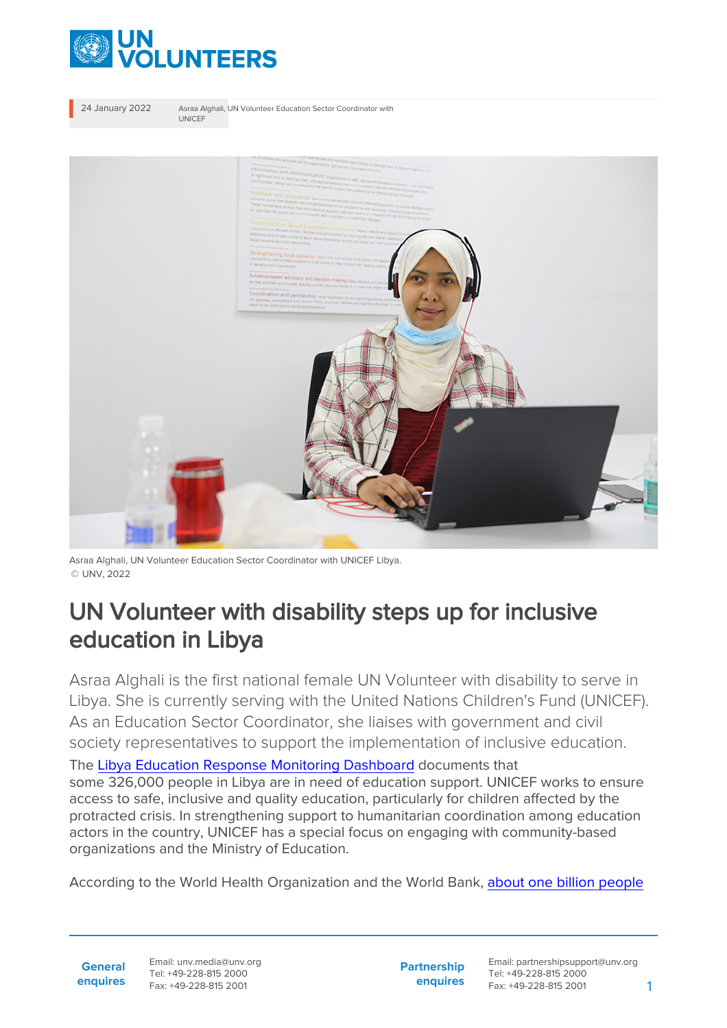

24 January 2022 Asraa Alghali, UN Volunteer Education Sector Coordinator with UNICEF



Asraa Alghali, UN Volunteer Education Sector Coordinator with UNICEF Libya. © UNV, 2022

## UN Volunteer with disability steps up for inclusive education in Libya

Asraa Alghali is the first national female UN Volunteer with disability to serve in Libya. She is currently serving with the United Nations Children's Fund (UNICEF). As an Education Sector Coordinator, she liaises with government and civil society representatives to support the implementation of inclusive education.

The [Libya Education Response Monitoring Dashboard](https://www.humanitarianresponse.info/sites/www.humanitarianresponse.info/files/edudashmay2021.png) documents that some 326,000 people in Libya are in need of education support. UNICEF works to ensure access to safe, inclusive and quality education, particularly for children affected by the protracted crisis. In strengthening support to humanitarian coordination among education actors in the country, UNICEF has a special focus on engaging with community-based organizations and the Ministry of Education.

According to the World Health Organization and the World Bank, [about one billion people](https://www.right-to-education.org/issue-page/marginalised-groups/persons-disabilities)

Email: unv.media@unv.org Tel: +49-228-815 2000 Fax: +49-228-815 2001

**Partnership enquires**

Email: partnershipsupport@unv.org Tel: +49-228-815 2000 Fax: +49-228-815 2001 1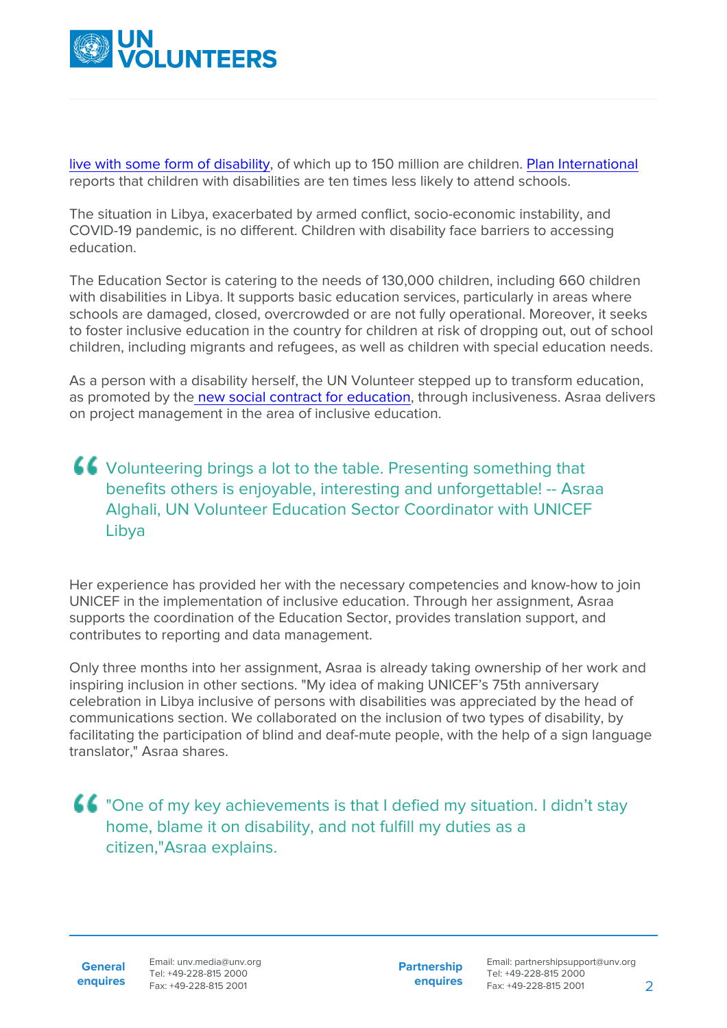

[live with some form of disability,](https://www.right-to-education.org/issue-page/marginalised-groups/persons-disabilities) of which up to 150 million are children. [Plan International](https://www.right-to-education.org/resource/include-us-study-disability-among-plan-internationals-sponsored-children) reports that children with disabilities are ten times less likely to attend schools.

The situation in Libya, exacerbated by armed conflict, socio-economic instability, and COVID-19 pandemic, is no different. Children with disability face barriers to accessing education.

The Education Sector is catering to the needs of 130,000 children, including 660 children with disabilities in Libya. It supports basic education services, particularly in areas where schools are damaged, closed, overcrowded or are not fully operational. Moreover, it seeks to foster inclusive education in the country for children at risk of dropping out, out of school children, including migrants and refugees, as well as children with special education needs.

As a person with a disability herself, the UN Volunteer stepped up to transform education, as promoted by th[e new social contract for education](https://unesdoc.unesco.org/ark:/48223/pf0000379707.locale=en), through inclusiveness. Asraa delivers on project management in the area of inclusive education.

## Volunteering brings a lot to the table. Presenting something that benefits others is enjoyable, interesting and unforgettable! -- Asraa Alghali, UN Volunteer Education Sector Coordinator with UNICEF Libya

Her experience has provided her with the necessary competencies and know-how to join UNICEF in the implementation of inclusive education. Through her assignment, Asraa supports the coordination of the Education Sector, provides translation support, and contributes to reporting and data management.

Only three months into her assignment, Asraa is already taking ownership of her work and inspiring inclusion in other sections. "My idea of making UNICEF's 75th anniversary celebration in Libya inclusive of persons with disabilities was appreciated by the head of communications section. We collaborated on the inclusion of two types of disability, by facilitating the participation of blind and deaf-mute people, with the help of a sign language translator," Asraa shares.

"One of my key achievements is that I defied my situation. I didn't stay home, blame it on disability, and not fulfill my duties as a citizen,"Asraa explains.

**General enquires** Email: unv.media@unv.org Tel: +49-228-815 2000 Fax: +49-228-815 2001

**Partnership enquires**

Email: partnershipsupport@unv.org Tel: +49-228-815 2000 Fax: +49-228-815 2001 2